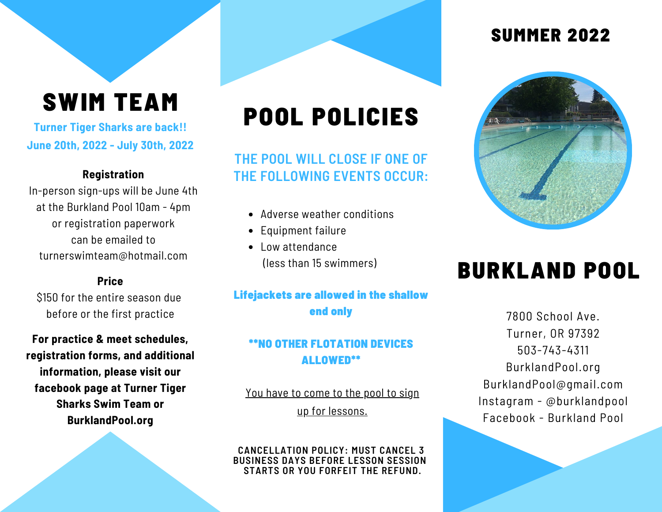# SWIM TEAM

**Turner Tiger Sharks are back!! June 20th, 2022 - July 30th, 2022**

#### **Registration**

In-person sign-ups will be June 4th at the Burkland Pool 10am - 4pm or registration paperwork can be emailed to [turnerswimteam@hotmail.com](mailto:turnerswimteam@hotmail.com)

#### **Price**

\$150 for the entire season due before or the first practice

**For practice & meet schedules, registration forms, and additional information, please visit our facebook page at Turner Tiger Sharks Swim Team or BurklandPool.org**

# POOL POLICIES

**THE POOL WILL CLOSE IF ONE OF THE FOLLOWING EVENTS OCCUR:**

- Adverse weather conditions
- Equipment failure
- Low attendance (less than 15 swimmers)

#### Lifejackets are allowed in the shallow end only

#### \*\*NO OTHER FLOTATION DEVICES ALLOWED\*\*

You have to come to the pool to sign up for lessons.

**CANCELLATION POLICY: MUST CANCEL 3 BUSINESS DAYS BEFORE LESSON SESSION STARTS OR YOU FORFEIT THE REFUND.**

### SUMMER 2022



### BURKLAND POOL

7800 School Ave. Turner, OR 97392 503-743-4311 BurklandPool.org BurklandPool@gmail.com Instagram - @burklandpool Facebook - Burkland Pool